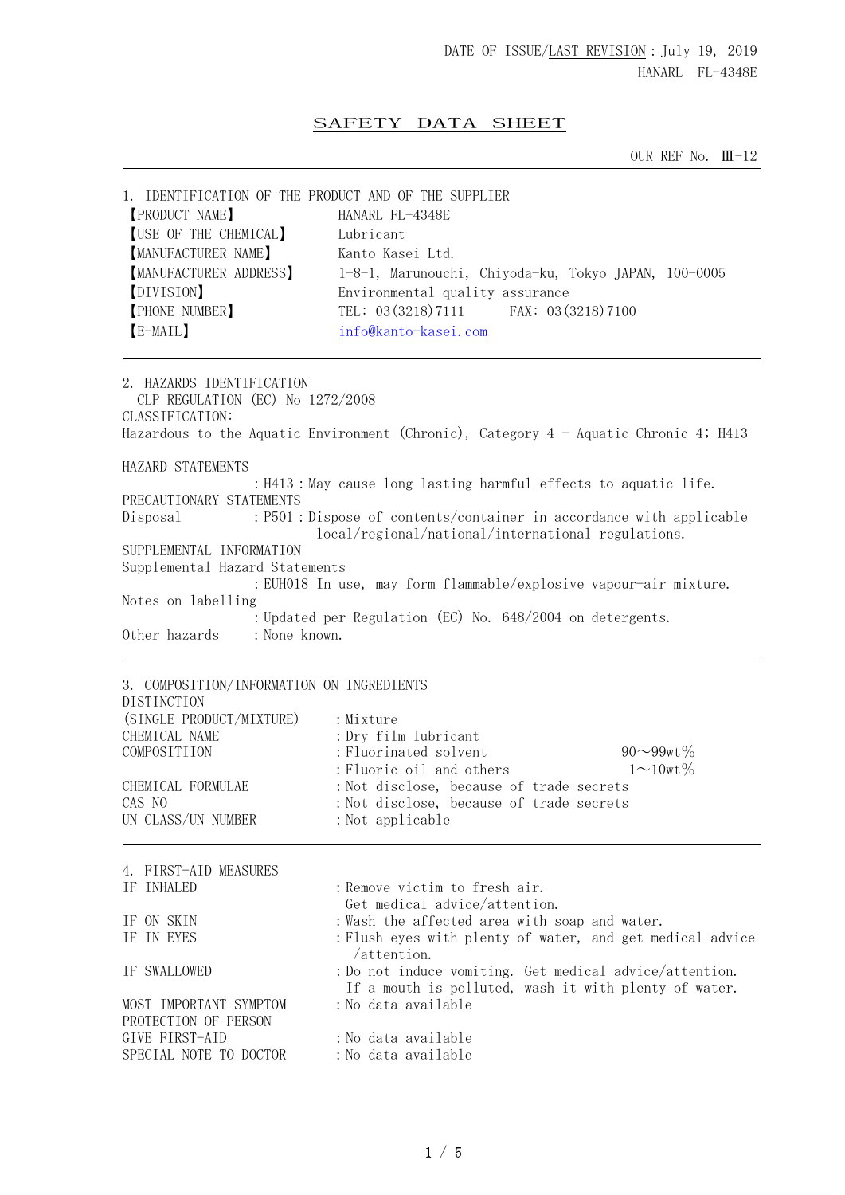## SAFETY DATA SHEET

OUR REF No. Ⅲ-12

| 1. IDENTIFICATION OF THE PRODUCT AND OF THE SUPPLIER<br>[PRODUCT NAME]<br><b>[USE OF THE CHEMICAL]</b><br>[MANUFACTURER NAME]<br>[MANUFACTURER ADDRESS]<br>[DIVISION]<br>[PHONE NUMBER] | HANARL FL-4348E<br>Lubricant<br>Kanto Kasei Ltd.<br>1-8-1, Marunouchi, Chiyoda-ku, Tokyo JAPAN, 100-0005<br>Environmental quality assurance<br>TEL: 03 (3218) 7111 FAX: 03 (3218) 7100                                                                                                                                           |
|-----------------------------------------------------------------------------------------------------------------------------------------------------------------------------------------|----------------------------------------------------------------------------------------------------------------------------------------------------------------------------------------------------------------------------------------------------------------------------------------------------------------------------------|
| [E-MAIL]                                                                                                                                                                                | info@kanto-kasei.com                                                                                                                                                                                                                                                                                                             |
| 2. HAZARDS IDENTIFICATION<br>CLP REGULATION (EC) No 1272/2008<br>CLASSIFICATION:                                                                                                        | Hazardous to the Aquatic Environment (Chronic), Category $4 -$ Aquatic Chronic 4; H413                                                                                                                                                                                                                                           |
| HAZARD STATEMENTS                                                                                                                                                                       |                                                                                                                                                                                                                                                                                                                                  |
| PRECAUTIONARY STATEMENTS<br>Disposal<br>SUPPLEMENTAL INFORMATION<br>Supplemental Hazard Statements<br>Notes on labelling<br>: None known.<br>Other hazards                              | : H413 : May cause long lasting harmful effects to aquatic life.<br>: P501 : Dispose of contents/container in accordance with applicable<br>local/regional/national/international regulations.<br>: EUH018 In use, may form flammable/explosive vapour-air mixture.<br>: Updated per Regulation (EC) No. 648/2004 on detergents. |
| 3. COMPOSITION/INFORMATION ON INGREDIENTS<br>DISTINCTION                                                                                                                                |                                                                                                                                                                                                                                                                                                                                  |
| (SINGLE PRODUCT/MIXTURE)<br>CHEMICAL NAME<br>COMPOSITIION                                                                                                                               | : Mixture<br>: Dry film lubricant<br>: Fluorinated solvent<br>$90 - 99$ wt $\%$<br>: Fluoric oil and others<br>$1 \sim 10$ wt $\%$                                                                                                                                                                                               |
| CHEMICAL FORMULAE<br>CAS NO<br>UN CLASS/UN NUMBER                                                                                                                                       | : Not disclose, because of trade secrets<br>: Not disclose, because of trade secrets<br>: Not applicable                                                                                                                                                                                                                         |
| 4. FIRST-AID MEASURES                                                                                                                                                                   |                                                                                                                                                                                                                                                                                                                                  |

IF INHALED : Remove victim to fresh air. Get medical advice/attention. IF ON SKIN : Wash the affected area with soap and water. IF IN EYES : Flush eyes with plenty of water, and get medical advice /attention. IF SWALLOWED :Do not induce vomiting. Get medical advice/attention. If a mouth is polluted, wash it with plenty of water. MOST IMPORTANT SYMPTOM : No data available PROTECTION OF PERSON : No data available SPECIAL NOTE TO DOCTOR : No data available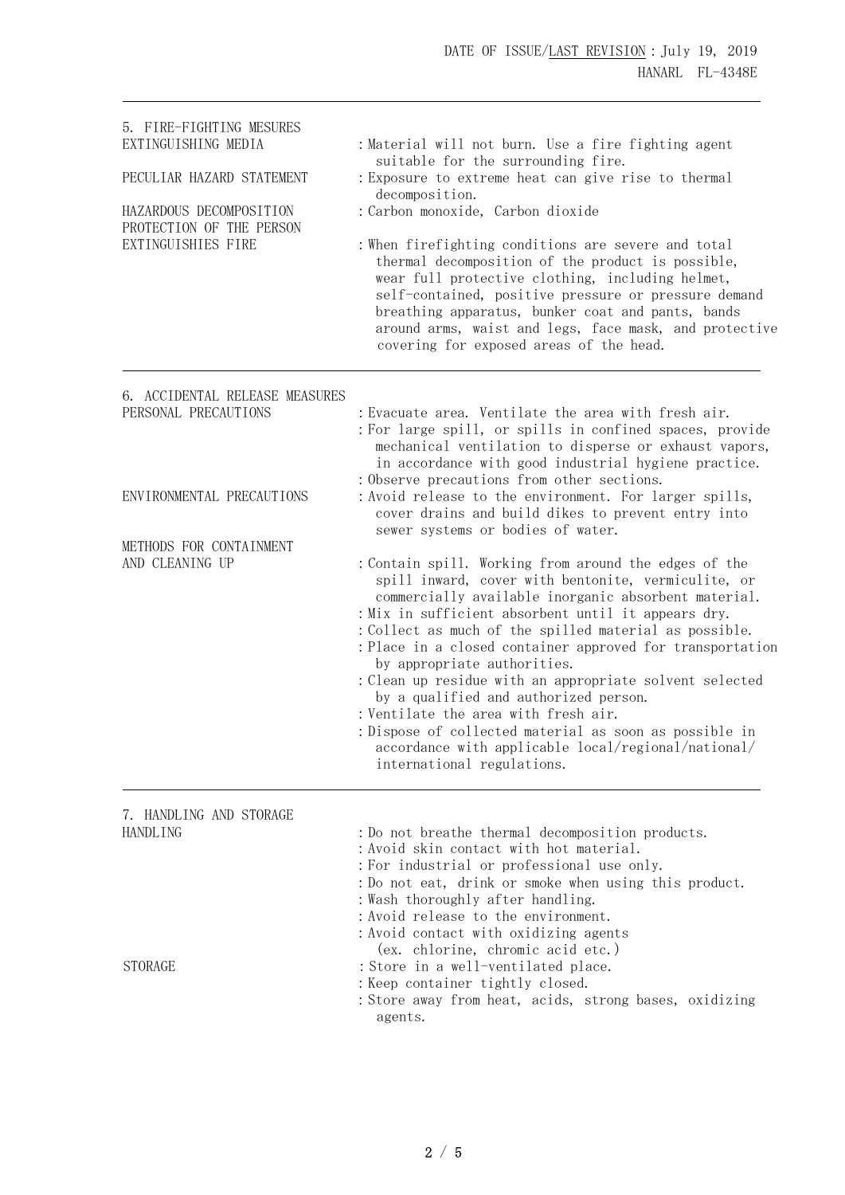| 5. FIRE-FIGHTING MESURES<br>EXTINGUISHING MEDIA<br>PECULIAR HAZARD STATEMENT<br>HAZARDOUS DECOMPOSITION<br>PROTECTION OF THE PERSON<br>EXTINGUISHIES FIRE | : Material will not burn. Use a fire fighting agent<br>suitable for the surrounding fire.<br>: Exposure to extreme heat can give rise to thermal<br>decomposition.<br>: Carbon monoxide, Carbon dioxide<br>: When firefighting conditions are severe and total<br>thermal decomposition of the product is possible,<br>wear full protective clothing, including helmet,<br>self-contained, positive pressure or pressure demand<br>breathing apparatus, bunker coat and pants, bands<br>around arms, waist and legs, face mask, and protective<br>covering for exposed areas of the head.                                                                                                                                                                                                                                                                                                                                                                                                                                                                                                                           |
|-----------------------------------------------------------------------------------------------------------------------------------------------------------|---------------------------------------------------------------------------------------------------------------------------------------------------------------------------------------------------------------------------------------------------------------------------------------------------------------------------------------------------------------------------------------------------------------------------------------------------------------------------------------------------------------------------------------------------------------------------------------------------------------------------------------------------------------------------------------------------------------------------------------------------------------------------------------------------------------------------------------------------------------------------------------------------------------------------------------------------------------------------------------------------------------------------------------------------------------------------------------------------------------------|
| 6. ACCIDENTAL RELEASE MEASURES<br>PERSONAL PRECAUTIONS<br>ENVIRONMENTAL PRECAUTIONS<br>METHODS FOR CONTAINMENT<br>AND CLEANING UP                         | : Evacuate area. Ventilate the area with fresh air.<br>: For large spill, or spills in confined spaces, provide<br>mechanical ventilation to disperse or exhaust vapors,<br>in accordance with good industrial hygiene practice.<br>: Observe precautions from other sections.<br>: Avoid release to the environment. For larger spills,<br>cover drains and build dikes to prevent entry into<br>sewer systems or bodies of water.<br>: Contain spill. Working from around the edges of the<br>spill inward, cover with bentonite, vermiculite, or<br>commercially available inorganic absorbent material.<br>: Mix in sufficient absorbent until it appears dry.<br>: Collect as much of the spilled material as possible.<br>: Place in a closed container approved for transportation<br>by appropriate authorities.<br>: Clean up residue with an appropriate solvent selected<br>by a qualified and authorized person.<br>: Ventilate the area with fresh air.<br>: Dispose of collected material as soon as possible in<br>accordance with applicable local/regional/national/<br>international regulations. |
| 7. HANDLING AND STORAGE<br>HANDLING<br><b>STORAGE</b>                                                                                                     | : Do not breathe thermal decomposition products.<br>: Avoid skin contact with hot material.<br>: For industrial or professional use only.<br>: Do not eat, drink or smoke when using this product.<br>: Wash thoroughly after handling.<br>: Avoid release to the environment.<br>: Avoid contact with oxidizing agents<br>(ex. chlorine, chromic acid etc.)<br>: Store in a well-ventilated place.<br>: Keep container tightly closed.<br>: Store away from heat, acids, strong bases, oxidizing<br>agents.                                                                                                                                                                                                                                                                                                                                                                                                                                                                                                                                                                                                        |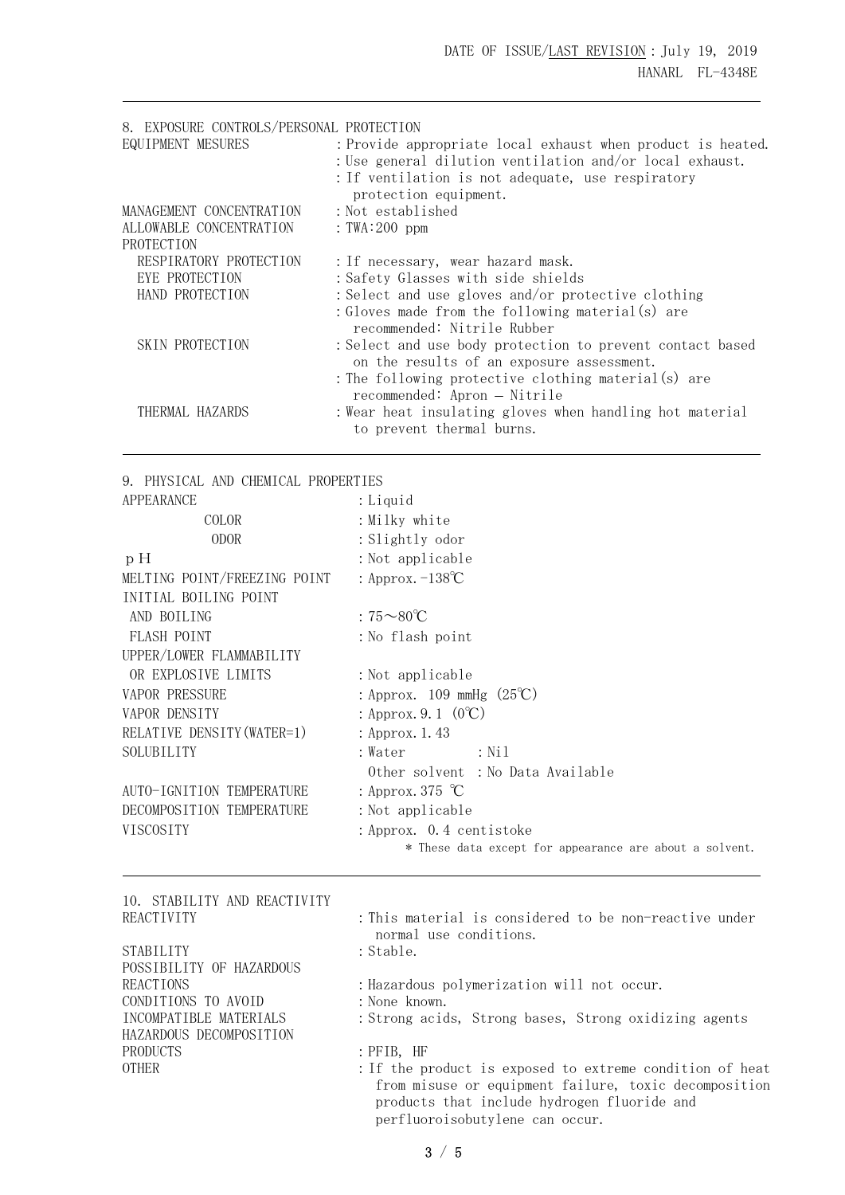| 8. EXPOSURE CONTROLS/PERSONAL PROTECTION |                                                             |
|------------------------------------------|-------------------------------------------------------------|
| EQUIPMENT MESURES                        | : Provide appropriate local exhaust when product is heated. |
|                                          | : Use general dilution ventilation and/or local exhaust.    |
|                                          | : If ventilation is not adequate, use respiratory           |
|                                          | protection equipment.                                       |
| MANAGEMENT CONCENTRATION                 | : Not established                                           |
| ALLOWABLE CONCENTRATION                  | : TWA: $200$ ppm                                            |
| PROTECTION                               |                                                             |
| RESPIRATORY PROTECTION                   | : If necessary, wear hazard mask.                           |
| EYE PROTECTION                           | : Safety Glasses with side shields                          |
| HAND PROTECTION                          | : Select and use gloves and/or protective clothing          |
|                                          | : Gloves made from the following material(s) are            |
|                                          | recommended: Nitrile Rubber                                 |
| SKIN PROTECTION                          | : Select and use body protection to prevent contact based   |
|                                          | on the results of an exposure assessment.                   |
|                                          | : The following protective clothing material(s) are         |
|                                          | recommended: Apron - Nitrile                                |
| THERMAL HAZARDS                          | : Wear heat insulating gloves when handling hot material    |
|                                          | to prevent thermal burns.                                   |

9. PHYSICAL AND CHEMICAL PROPERTIES

| APPEARANCE                                    | : Liquid                                                                         |
|-----------------------------------------------|----------------------------------------------------------------------------------|
| COLOR                                         | : Milky white                                                                    |
| <b>ODOR</b>                                   | : Slightly odor                                                                  |
| pH                                            | : Not applicable                                                                 |
| MELTING POINT/FREEZING POINT                  | : Approx. $-138^{\circ}C$                                                        |
| INITIAL BOILING POINT                         |                                                                                  |
| AND BOILING                                   | : $75 \sim 80^{\circ}$ C                                                         |
| FLASH POINT                                   | : No flash point                                                                 |
| UPPER/LOWER FLAMMABILITY                      |                                                                                  |
| OR EXPLOSIVE LIMITS                           | : Not applicable                                                                 |
| <b>VAPOR PRESSURE</b>                         | : Approx. 109 mmHg $(25^{\circ}\text{C})$                                        |
| VAPOR DENSITY                                 | : Approx. 9. 1 $(0^{\circ}C)$                                                    |
| RELATIVE DENSITY (WATER=1)                    | : Approx. 1.43                                                                   |
| SOLUBILITY                                    | : Water<br>$:$ Nil                                                               |
|                                               | Other solvent : No Data Available                                                |
| AUTO-IGNITION TEMPERATURE                     | : Approx. 375 $\degree$ C                                                        |
| DECOMPOSITION TEMPERATURE                     | : Not applicable                                                                 |
| VISCOSITY                                     | : Approx. 0.4 centistoke                                                         |
|                                               | * These data except for appearance are about a solvent.                          |
| 10. STABILITY AND REACTIVITY                  |                                                                                  |
| REACTIVITY                                    | : This material is considered to be non-reactive under<br>normal use conditions. |
| <b>STABILITY</b>                              | : Stable.                                                                        |
| POSSIBILITY OF HAZARDOUS                      |                                                                                  |
| <b>REACTIONS</b>                              | : Hazardous polymerization will not occur.                                       |
| CONDITIONS TO AVOID<br>INCOMPATIBLE MATERIALS | : None known.<br>: Strong acids, Strong bases, Strong oxidizing agents           |
| HAZARDOUS DECOMPOSITION                       |                                                                                  |
| PRODUCTS                                      | : PFIB, HF                                                                       |
| <b>OTHER</b>                                  | : If the product is exposed to extreme condition of heat                         |
|                                               | from misuse or equipment failure, toxic decomposition                            |
|                                               | products that include hydrogen fluoride and                                      |
|                                               | perfluoroisobutylene can occur.                                                  |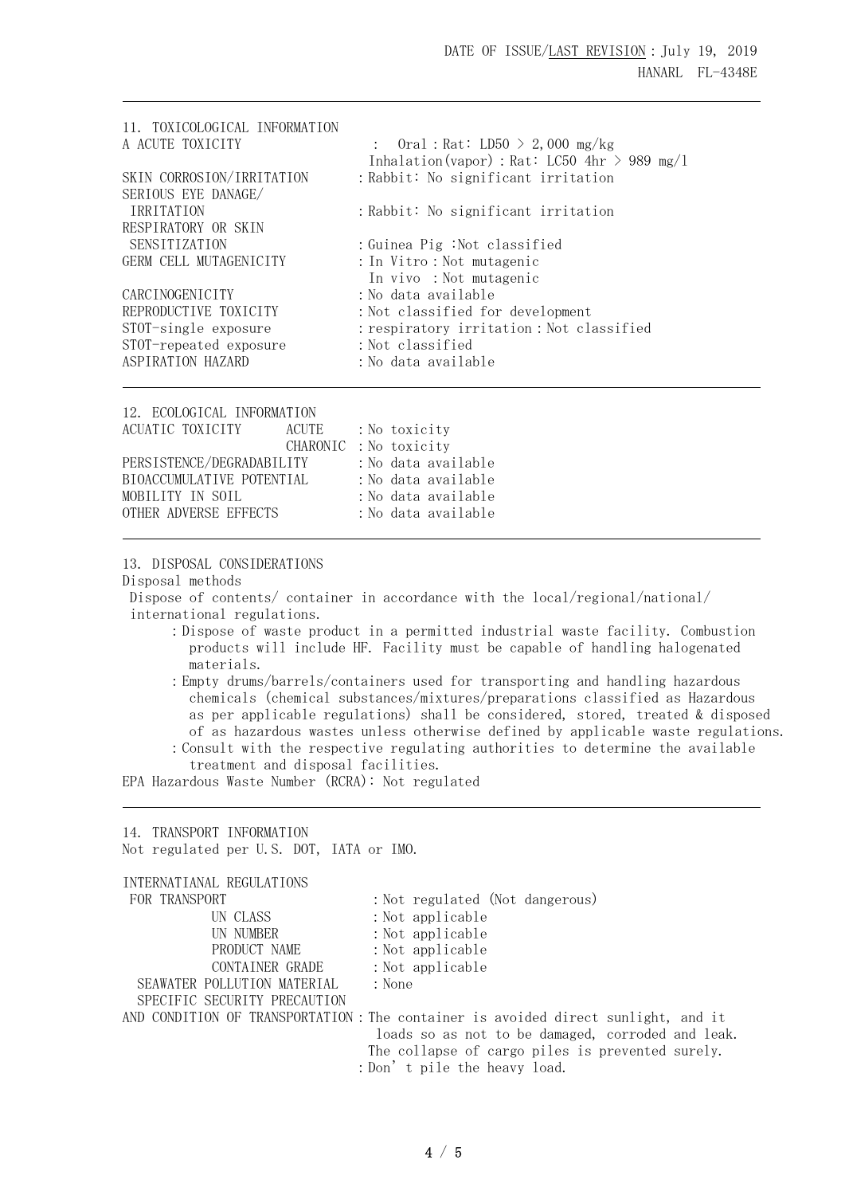| 11. TOXICOLOGICAL INFORMATION |                                              |
|-------------------------------|----------------------------------------------|
| A ACUTE TOXICITY              | : Oral : Rat: LD50 > 2,000 mg/kg             |
|                               | Inhalation(vapor) : Rat: LC50 4hr > 989 mg/l |
| SKIN CORROSION/IRRITATION     | : Rabbit: No significant irritation          |
| SERIOUS EYE DANAGE/           |                                              |
| <b>IRRITATION</b>             | : Rabbit: No significant irritation          |
| RESPIRATORY OR SKIN           |                                              |
| SENSITIZATION                 | :Guinea Pig :Not classified                  |
| GERM CELL MUTAGENICITY        | : In Vitro : Not mutagenic                   |
|                               | In vivo: Not mutagenic                       |
| CARCINOGENICITY               | :No data available                           |
| REPRODUCTIVE TOXICITY         | : Not classified for development             |
| STOT-single exposure          | : respiratory irritation : Not classified    |
| STOT-repeated exposure        | : Not classified                             |
| ASPIRATION HAZARD             | :No data available                           |
|                               |                                              |

| 12. ECOLOGICAL INFORMATION |                        |  |                     |
|----------------------------|------------------------|--|---------------------|
| ACUATIC TOXICITY           | ACUTE                  |  | : No toxicity       |
|                            | CHARONIC : No toxicity |  |                     |
| PERSISTENCE/DEGRADABILITY  |                        |  | : No data available |
| BIOACCUMULATIVE POTENTIAL  |                        |  | : No data available |
| MOBILITY IN SOIL           |                        |  | : No data available |
| OTHER ADVERSE EFFECTS      |                        |  | : No data available |
|                            |                        |  |                     |

13. DISPOSAL CONSIDERATIONS

Disposal methods

Dispose of contents/ container in accordance with the local/regional/national/ international regulations.

- :Dispose of waste product in a permitted industrial waste facility. Combustion products will include HF. Facility must be capable of handling halogenated materials.
- :Empty drums/barrels/containers used for transporting and handling hazardous chemicals (chemical substances/mixtures/preparations classified as Hazardous as per applicable regulations) shall be considered, stored, treated & disposed of as hazardous wastes unless otherwise defined by applicable waste regulations. :Consult with the respective regulating authorities to determine the available
	- treatment and disposal facilities.

EPA Hazardous Waste Number (RCRA): Not regulated

# 14. TRANSPORT INFORMATION

Not regulated per U.S. DOT, IATA or IMO.

#### INTERNATIANAL REGULATIONS

| FOR TRANSPORT                | : Not regulated (Not dangerous)                                                   |
|------------------------------|-----------------------------------------------------------------------------------|
| UN CLASS                     | $:$ Not applicable                                                                |
| UN NUMBER                    | $:$ Not applicable                                                                |
| PRODUCT NAME                 | $:$ Not applicable                                                                |
| CONTAINER GRADE              | $:$ Not applicable                                                                |
| SEAWATER POLLUTION MATERIAL  | : None                                                                            |
| SPECIFIC SECURITY PRECAUTION |                                                                                   |
|                              | AND CONDITION OF TRANSPORTATION: The container is avoided direct sunlight, and it |
|                              | loads so as not to be damaged, corroded and leak.                                 |
|                              | The collapse of cargo piles is prevented surely.                                  |
|                              | : Don't pile the heavy load.                                                      |